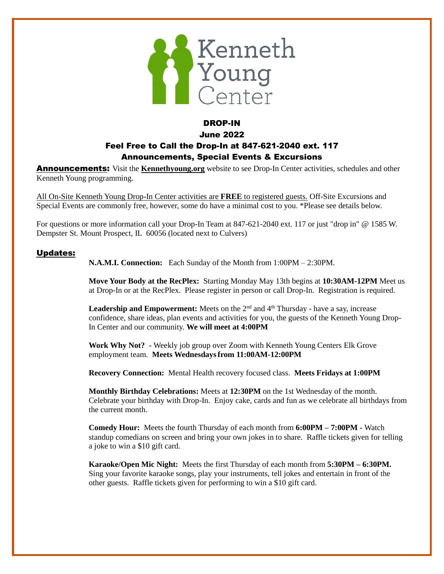

### DROP-IN June 2022 Feel Free to Call the Drop-In at 847-621-2040 ext. 117 Announcements, Special Events & Excursions

**Announcements:** Visit the **Kennethyoung.org** website to see Drop-In Center activities, schedules and other Kenneth Young programming.

All On-Site Kenneth Young Drop-In Center activities are **FREE** to registered guests. Off-Site Excursions and Special Events are commonly free, however, some do have a minimal cost to you. \*Please see details below.

For questions or more information call your Drop-In Team at 847-621-2040 ext. 117 or just "drop in" @ 1585 W. Dempster St. Mount Prospect, IL 60056 (located next to Culvers)

#### Updates:

**N.A.M.I. Connection:** Each Sunday of the Month from 1:00PM – 2:30PM.

**Move Your Body at the RecPlex:** Starting Monday May 13th begins at **10:30AM-12PM** Meet us at Drop-In or at the RecPlex. Please register in person or call Drop-In. Registration is required.

**Leadership and Empowerment:** Meets on the  $2<sup>nd</sup>$  and  $4<sup>th</sup>$  Thursday - have a say, increase confidence, share ideas, plan events and activities for you, the guests of the Kenneth Young Drop-In Center and our community. **We will meet at 4:00PM** 

**Work Why Not? -** Weekly job group over Zoom with Kenneth Young Centers Elk Grove employment team. **Meets Wednesdaysfrom 11:00AM-12:00PM**

**Recovery Connection:** Mental Health recovery focused class. **Meets Fridays at 1:00PM** 

**Monthly Birthday Celebrations:** Meets at **12:30PM** on the 1st Wednesday of the month. Celebrate your birthday with Drop-In. Enjoy cake, cards and fun as we celebrate all birthdays from the current month.

**Comedy Hour:** Meets the fourth Thursday of each month from **6:00PM – 7:00PM -** Watch standup comedians on screen and bring your own jokes in to share. Raffle tickets given for telling a joke to win a \$10 gift card.

**Karaoke/Open Mic Night:** Meets the first Thursday of each month from **5:30PM – 6:30PM.**  Sing your favorite karaoke songs, play your instruments, tell jokes and entertain in front of the other guests. Raffle tickets given for performing to win a \$10 gift card.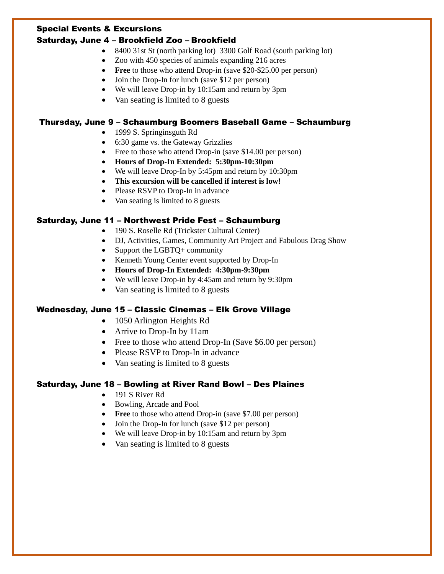#### Special Events & Excursions

### Saturday, June 4 – Brookfield Zoo – Brookfield

- 8400 31st St (north parking lot) 3300 Golf Road (south parking lot)
- Zoo with 450 species of animals expanding 216 acres
- **Free** to those who attend Drop-in (save \$20-\$25.00 per person)
- Join the Drop-In for lunch (save \$12 per person)
- We will leave Drop-in by 10:15am and return by 3pm
- Van seating is limited to 8 guests

# Thursday, June 9 – Schaumburg Boomers Baseball Game – Schaumburg

- 1999 S. Springinsguth Rd
- 6:30 game vs. the Gateway Grizzlies
- Free to those who attend Drop-in (save \$14.00 per person)
- **Hours of Drop-In Extended: 5:30pm-10:30pm**
- We will leave Drop-In by 5:45pm and return by 10:30pm
- **This excursion will be cancelled if interest is low!**
- Please RSVP to Drop-In in advance
- Van seating is limited to 8 guests

# Saturday, June 11 – Northwest Pride Fest – Schaumburg

- 190 S. Roselle Rd (Trickster Cultural Center)
	- DJ, Activities, Games, Community Art Project and Fabulous Drag Show
	- Support the LGBTQ+ community
	- Kenneth Young Center event supported by Drop-In
	- **Hours of Drop-In Extended: 4:30pm-9:30pm**
	- We will leave Drop-in by 4:45am and return by 9:30pm
	- Van seating is limited to 8 guests

# Wednesday, June 15 – Classic Cinemas – Elk Grove Village

- 1050 Arlington Heights Rd
- Arrive to Drop-In by 11am
- Free to those who attend Drop-In (Save \$6.00 per person)
- Please RSVP to Drop-In in advance
- Van seating is limited to 8 guests

# Saturday, June 18 – Bowling at River Rand Bowl – Des Plaines

- 191 S River Rd
- Bowling, Arcade and Pool
- **Free** to those who attend Drop-in (save \$7.00 per person)
- Join the Drop-In for lunch (save \$12 per person)
- We will leave Drop-in by 10:15am and return by 3pm
- Van seating is limited to 8 guests